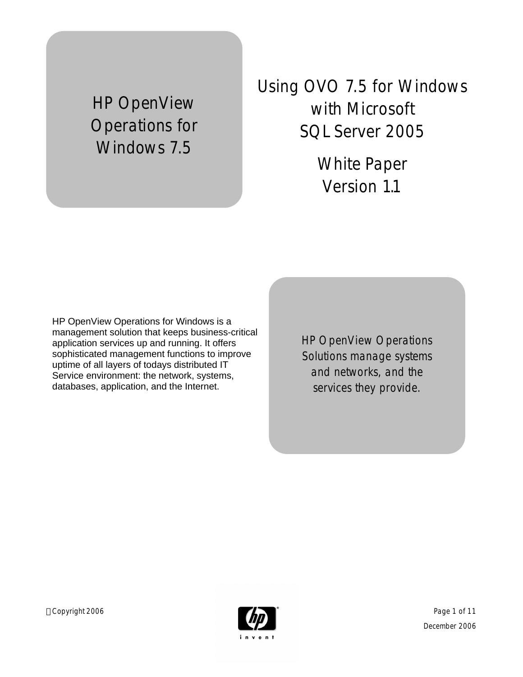# HP OpenView Operations for Windows 7.5

Using OVO 7.5 for Windows with Microsoft SQL Server 2005

> White Paper Version 1.1

HP OpenView Operations for Windows is a management solution that keeps business-critical application services up and running. It offers sophisticated management functions to improve uptime of all layers of todays distributed IT Service environment: the network, systems, databases, application, and the Internet.

HP OpenView Operations Solutions manage systems and networks, and the services they provide.

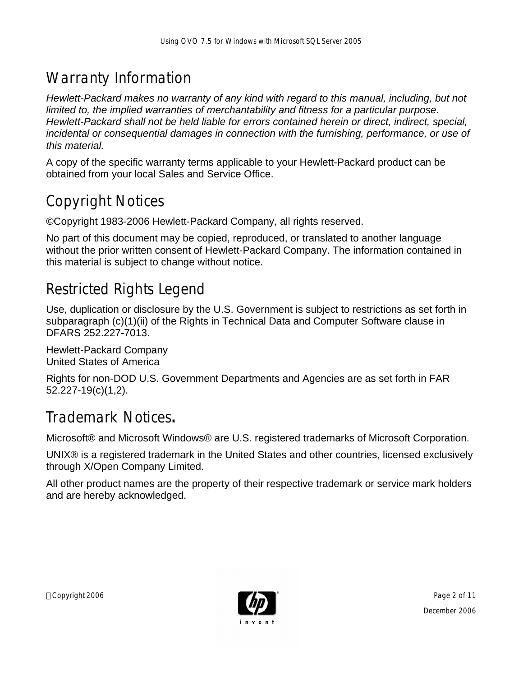## Warranty Information

*Hewlett-Packard makes no warranty of any kind with regard to this manual, including, but not limited to, the implied warranties of merchantability and fitness for a particular purpose. Hewlett-Packard shall not be held liable for errors contained herein or direct, indirect, special, incidental or consequential damages in connection with the furnishing, performance, or use of this material.*

A copy of the specific warranty terms applicable to your Hewlett-Packard product can be obtained from your local Sales and Service Office.

## Copyright Notices

©Copyright 1983-2006 Hewlett-Packard Company, all rights reserved.

No part of this document may be copied, reproduced, or translated to another language without the prior written consent of Hewlett-Packard Company. The information contained in this material is subject to change without notice.

## Restricted Rights Legend

Use, duplication or disclosure by the U.S. Government is subject to restrictions as set forth in subparagraph (c)(1)(ii) of the Rights in Technical Data and Computer Software clause in DFARS 252.227-7013.

Hewlett-Packard Company United States of America

Rights for non-DOD U.S. Government Departments and Agencies are as set forth in FAR 52.227-19(c)(1,2).

#### Trademark Notices**.**

Microsoft® and Microsoft Windows® are U.S. registered trademarks of Microsoft Corporation.

UNIX® is a registered trademark in the United States and other countries, licensed exclusively through X/Open Company Limited.

All other product names are the property of their respective trademark or service mark holders and are hereby acknowledged.

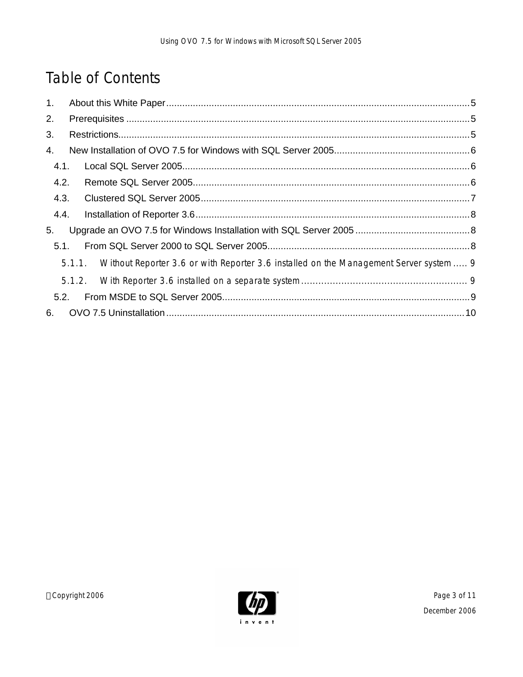## Table of Contents

| 1.   |                                                                                               |  |  |  |
|------|-----------------------------------------------------------------------------------------------|--|--|--|
| 2.   |                                                                                               |  |  |  |
| 3.   |                                                                                               |  |  |  |
| 4.   |                                                                                               |  |  |  |
| 4.1. |                                                                                               |  |  |  |
| 4.2. |                                                                                               |  |  |  |
|      | 4.3.                                                                                          |  |  |  |
| 4.4. |                                                                                               |  |  |  |
| 5.   |                                                                                               |  |  |  |
| 5.1. |                                                                                               |  |  |  |
|      | 5.1.1. Without Reporter 3.6 or with Reporter 3.6 installed on the Management Server system  9 |  |  |  |
|      |                                                                                               |  |  |  |
| 5.2. |                                                                                               |  |  |  |
| 6.   |                                                                                               |  |  |  |

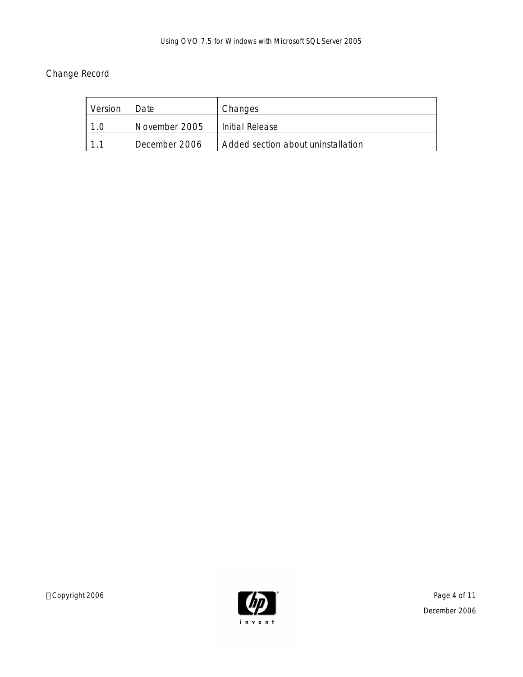#### Change Record

| Version | Date          | Changes                            |
|---------|---------------|------------------------------------|
|         | November 2005 | Initial Release                    |
|         | December 2006 | Added section about uninstallation |

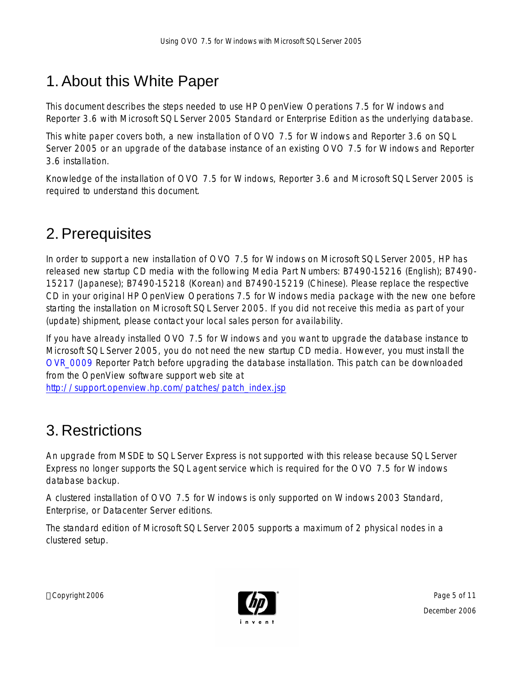## 1.About this White Paper

This document describes the steps needed to use HP OpenView Operations 7.5 for Windows and Reporter 3.6 with Microsoft SQL Server 2005 Standard or Enterprise Edition as the underlying database.

This white paper covers both, a new installation of OVO 7.5 for Windows and Reporter 3.6 on SQL Server 2005 or an upgrade of the database instance of an existing OVO 7.5 for Windows and Reporter 3.6 installation.

Knowledge of the installation of OVO 7.5 for Windows, Reporter 3.6 and Microsoft SQL Server 2005 is required to understand this document.

#### 2.Prerequisites

In order to support a new installation of OVO 7.5 for Windows on Microsoft SQL Server 2005, HP has released new startup CD media with the following Media Part Numbers: B7490-15216 (English); B7490- 15217 (Japanese); B7490-15218 (Korean) and B7490-15219 (Chinese). Please replace the respective CD in your original HP OpenView Operations 7.5 for Windows media package with the new one before starting the installation on Microsoft SQL Server 2005. If you did not receive this media as part of your (update) shipment, please contact your local sales person for availability.

If you have already installed OVO 7.5 for Windows and you want to upgrade the database instance to Microsoft SQL Server 2005, you do not need the new startup CD media. However, you must install the OVR\_0009 Reporter Patch before upgrading the database installation. This patch can be downloaded from the OpenView software support web site at

http://support.openview.hp.com/patches/patch\_index.jsp

### 3. Restrictions

An upgrade from MSDE to SQL Server Express is not supported with this release because SQL Server Express no longer supports the SQL agent service which is required for the OVO 7.5 for Windows database backup.

A clustered installation of OVO 7.5 for Windows is only supported on Windows 2003 Standard, Enterprise, or Datacenter Server editions.

The standard edition of Microsoft SQL Server 2005 supports a maximum of 2 physical nodes in a clustered setup.

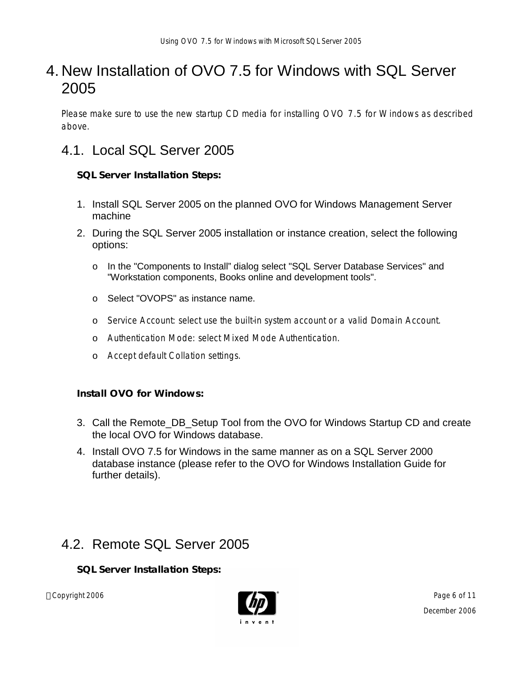#### 4. New Installation of OVO 7.5 for Windows with SQL Server 2005

Please make sure to use the new startup CD media for installing OVO 7.5 for Windows as described above.

#### 4.1. Local SQL Server 2005

**SQL Server Installation Steps:**

- 1. Install SQL Server 2005 on the planned OVO for Windows Management Server machine
- 2. During the SQL Server 2005 installation or instance creation, select the following options:
	- o In the "Components to Install" dialog select "SQL Server Database Services" and "Workstation components, Books online and development tools".
	- o Select "OVOPS" as instance name.
	- o Service Account: select use the built-in system account or a valid Domain Account.
	- o Authentication Mode: select Mixed Mode Authentication.
	- o Accept default Collation settings.

**Install OVO for Windows:**

- 3. Call the Remote\_DB\_Setup Tool from the OVO for Windows Startup CD and create the local OVO for Windows database.
- 4. Install OVO 7.5 for Windows in the same manner as on a SQL Server 2000 database instance (please refer to the OVO for Windows Installation Guide for further details).

#### 4.2. Remote SQL Server 2005

**SQL Server Installation Steps:**

Copyright 2006 Page 6 of 11



December 2006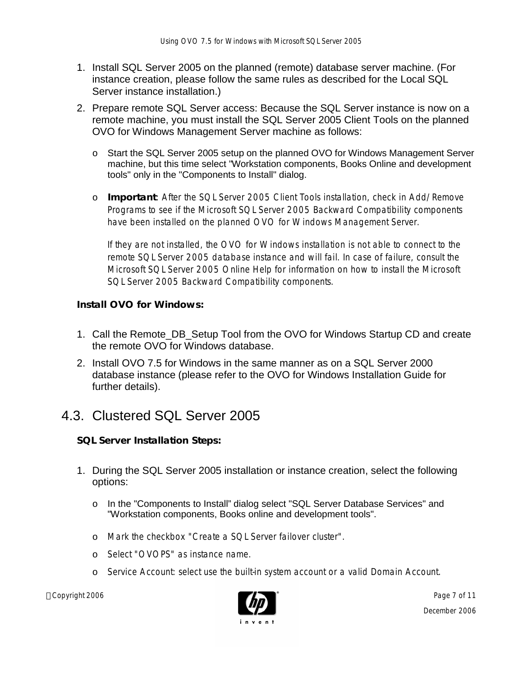- 1. Install SQL Server 2005 on the planned (remote) database server machine. (For instance creation, please follow the same rules as described for the Local SQL Server instance installation.)
- 2. Prepare remote SQL Server access: Because the SQL Server instance is now on a remote machine, you must install the SQL Server 2005 Client Tools on the planned OVO for Windows Management Server machine as follows:
	- o Start the SQL Server 2005 setup on the planned OVO for Windows Management Server machine, but this time select "Workstation components, Books Online and development tools" only in the "Components to Install" dialog.
	- o **Important**: After the SQL Server 2005 Client Tools installation, check in Add/Remove Programs to see if the Microsoft SQL Server 2005 Backward Compatibility components have been installed on the planned OVO for Windows Management Server.

If they are not installed, the OVO for Windows installation is not able to connect to the remote SQL Server 2005 database instance and will fail. In case of failure, consult the Microsoft SQL Server 2005 Online Help for information on how to install the Microsoft SQL Server 2005 Backward Compatibility components.

**Install OVO for Windows:**

- 1. Call the Remote\_DB\_Setup Tool from the OVO for Windows Startup CD and create the remote OVO for Windows database.
- 2. Install OVO 7.5 for Windows in the same manner as on a SQL Server 2000 database instance (please refer to the OVO for Windows Installation Guide for further details).

#### 4.3. Clustered SQL Server 2005

**SQL Server Installation Steps:**

- 1. During the SQL Server 2005 installation or instance creation, select the following options:
	- o In the "Components to Install" dialog select "SQL Server Database Services" and "Workstation components, Books online and development tools".
	- o Mark the checkbox "Create a SQL Server failover cluster".
	- o Select "OVOPS" as instance name.
	- o Service Account: select use the built-in system account or a valid Domain Account.

Copyright 2006 Page 7 of 11 and 2006 Page 7 of 11



December 2006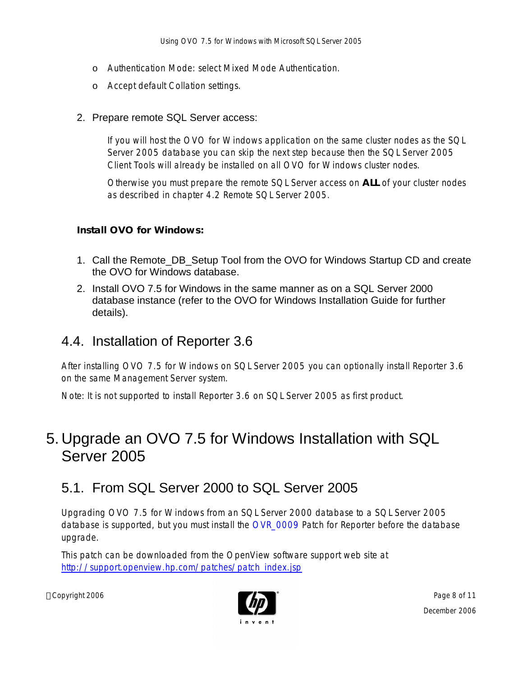- o Authentication Mode: select Mixed Mode Authentication.
- o Accept default Collation settings.

#### 2. Prepare remote SQL Server access:

If you will host the OVO for Windows application on the same cluster nodes as the SQL Server 2005 database you can skip the next step because then the SQL Server 2005 Client Tools will already be installed on all OVO for Windows cluster nodes.

Otherwise you must prepare the remote SQL Server access on **ALL** of your cluster nodes as described in chapter 4.2 Remote SQL Server 2005.

**Install OVO for Windows:**

- 1. Call the Remote\_DB\_Setup Tool from the OVO for Windows Startup CD and create the OVO for Windows database.
- 2. Install OVO 7.5 for Windows in the same manner as on a SQL Server 2000 database instance (refer to the OVO for Windows Installation Guide for further details).

#### 4.4. Installation of Reporter 3.6

After installing OVO 7.5 for Windows on SQL Server 2005 you can optionally install Reporter 3.6 on the same Management Server system.

Note: It is not supported to install Reporter 3.6 on SQL Server 2005 as first product.

#### 5. Upgrade an OVO 7.5 for Windows Installation with SQL Server 2005

#### 5.1. From SQL Server 2000 to SQL Server 2005

Upgrading OVO 7.5 for Windows from an SQL Server 2000 database to a SQL Server 2005 database is supported, but you must install the OVR\_0009 Patch for Reporter before the database upgrade.

This patch can be downloaded from the OpenView software support web site at http://support.openview.hp.com/patches/patch\_index.jsp

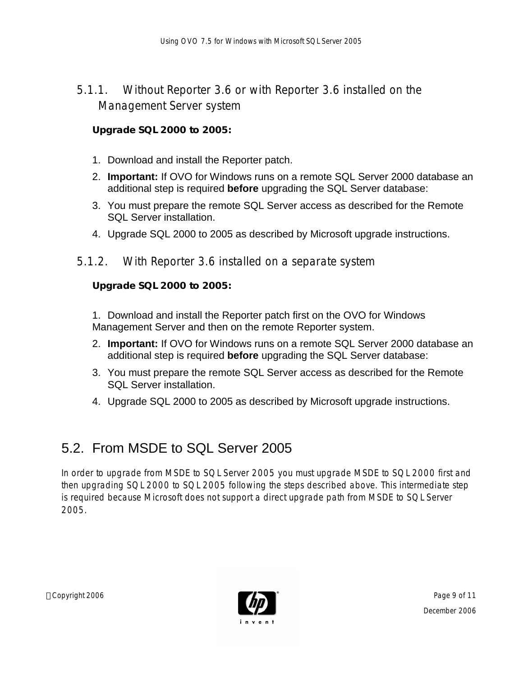5.1.1. Without Reporter 3.6 or with Reporter 3.6 installed on the Management Server system

**Upgrade SQL 2000 to 2005:**

- 1. Download and install the Reporter patch.
- 2. **Important:** If OVO for Windows runs on a remote SQL Server 2000 database an additional step is required **before** upgrading the SQL Server database:
- 3. You must prepare the remote SQL Server access as described for the Remote SQL Server installation.
- 4. Upgrade SQL 2000 to 2005 as described by Microsoft upgrade instructions.
- 5.1.2. With Reporter 3.6 installed on a separate system

**Upgrade SQL 2000 to 2005:**

1. Download and install the Reporter patch first on the OVO for Windows Management Server and then on the remote Reporter system.

- 2. **Important:** If OVO for Windows runs on a remote SQL Server 2000 database an additional step is required **before** upgrading the SQL Server database:
- 3. You must prepare the remote SQL Server access as described for the Remote SQL Server installation.
- 4. Upgrade SQL 2000 to 2005 as described by Microsoft upgrade instructions.

#### 5.2. From MSDE to SQL Server 2005

In order to upgrade from MSDE to SQL Server 2005 you must upgrade MSDE to SQL 2000 first and then upgrading SQL 2000 to SQL 2005 following the steps described above. This intermediate step is required because Microsoft does not support a direct upgrade path from MSDE to SQL Server 2005.

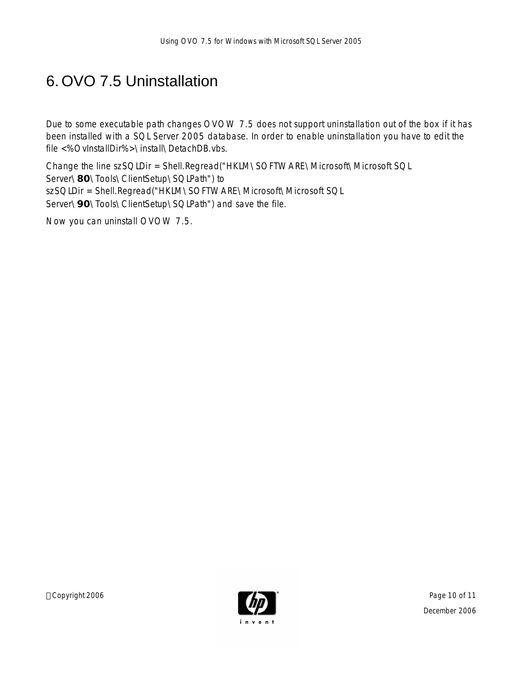## 6. OVO 7.5 Uninstallation

Due to some executable path changes OVOW 7.5 does not support uninstallation out of the box if it has been installed with a SQL Server 2005 database. In order to enable uninstallation you have to edit the file <%OvInstallDir%>\install\DetachDB.vbs.

Change the line szSQLDir = Shell.Regread("HKLM\SOFTWARE\Microsoft\Microsoft SQL Server\**80**\Tools\ClientSetup\SQLPath") to szSQLDir = Shell.Regread("HKLM\SOFTWARE\Microsoft\Microsoft SQL Server\**90**\Tools\ClientSetup\SQLPath") and save the file.

Now you can uninstall OVOW 7.5.